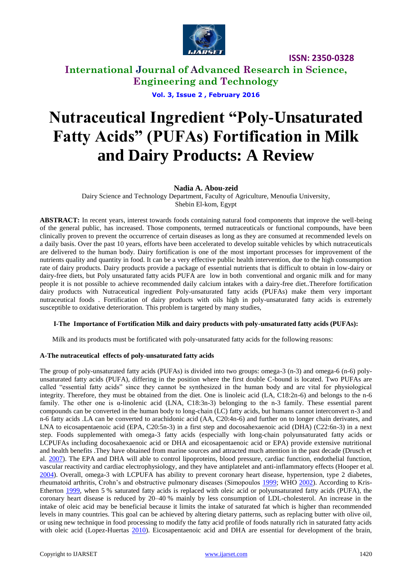

# **International Journal of Advanced Research in Science, Engineering and Technology**

**Vol. 3, Issue 2 , February 2016**

# **Nutraceutical Ingredient "Poly-Unsaturated Fatty Acids" (PUFAs) Fortification in Milk and Dairy Products: A Review**

### **Nadia A. Abou-zeid**

Dairy Science and Technology Department, Faculty of Agriculture, Menoufia University, Shebin El-kom, Egypt

**ABSTRACT:** In recent years, interest towards foods containing natural food components that improve the well-being of the general public, has increased. Those components, termed nutraceuticals or functional compounds, have been clinically proven to prevent the occurrence of certain diseases as long as they are consumed at recommended levels on a daily basis. Over the past 10 years, efforts have been accelerated to develop suitable vehicles by which nutraceuticals are delivered to the human body. Dairy fortification is one of the most important processes for improvement of the nutrients quality and quantity in food. It can be a very effective public health intervention, due to the high consumption rate of dairy products. Dairy products provide a package of essential nutrients that is difficult to obtain in low-dairy or dairy-free diets, but Poly unsaturated fatty acids PUFA are low in both conventional and organic milk and for many people it is not possible to achieve recommended daily calcium intakes with a dairy-free diet..Therefore fortification dairy products with Nutraceutical ingredient Poly-unsaturated fatty acids (PUFAs) make them very important nutraceutical foods . Fortification of dairy products with oils high in poly-unsaturated fatty acids is extremely susceptible to oxidative deterioration. This problem is targeted by many studies,

#### **I-The Importance of Fortification Milk and dairy products with poly-unsaturated fatty acids (PUFAs):**

Milk and its products must be fortificated with poly-unsaturated fatty acids for the following reasons:

#### **A-The nutraceutical effects of poly-unsaturated fatty acids**

The group of poly-unsaturated fatty acids (PUFAs) is divided into two groups: omega-3 (n-3) and omega-6 (n-6) polyunsaturated fatty acids (PUFA), differing in the position where the first double C-bound is located. Two PUFAs are called "essential fatty acids" since they cannot be synthesized in the human body and are vital for physiological integrity. Therefore, they must be obtained from the diet. One is linoleic acid (LA, C18:2n-6) and belongs to the n-6 family. The other one is α-linolenic acid (LNA, C18:3n-3) belonging to the n-3 family. These essential parent compounds can be converted in the human body to long-chain (LC) fatty acids, but humans cannot interconvert n-3 and n-6 fatty acids .LA can be converted to arachidonic acid (AA, C20:4n-6) and further on to longer chain derivates, and LNA to eicosapentaenoic acid (EPA, C20:5n-3) in a first step and docosahexaenoic acid (DHA) (C22:6n-3) in a next step. Foods supplemented with omega-3 fatty acids (especially with long-chain polyunsaturated fatty acids or LCPUFAs including docosahexaenoic acid or DHA and eicosapentaenoic acid or EPA) provide extensive nutritional and health benefits .They have obtained from marine sources and attracted much attention in the past decade (Drusch et al. [2007\)](http://link.springer.com/article/10.1007/s13197-013-1163-z/fulltext.html#CR16). The EPA and DHA will able to control lipoproteins, blood pressure, cardiac function, endothelial function, vascular reactivity and cardiac electrophysiology, and they have antiplatelet and anti-inflammatory effects (Hooper et al. [2004\)](http://link.springer.com/article/10.1007/s13197-013-1163-z/fulltext.html#CR25). Overall, omega-3 with LCPUFA has ability to prevent coronary heart disease, hypertension, type 2 diabetes, rheumatoid arthritis, Crohn's and obstructive pulmonary diseases (Simopoulos [1999;](http://link.springer.com/article/10.1007/s13197-013-1163-z/fulltext.html#CR48) WHO [2002\)](http://link.springer.com/article/10.1007/s13197-013-1163-z/fulltext.html#CR56). According to Kris-Etherton [1999,](http://link.springer.com/article/10.1007/s13197-013-1163-z/fulltext.html#CR35) when 5 % saturated fatty acids is replaced with oleic acid or polyunsaturated fatty acids (PUFA), the coronary heart disease is reduced by 20–40 % mainly by less consumption of LDL-cholesterol. An increase in the intake of oleic acid may be beneficial because it limits the intake of saturated fat which is higher than recommended levels in many countries. This goal can be achieved by altering dietary patterns, such as replacing butter with olive oil, or using new technique in food processing to modify the fatty acid profile of foods naturally rich in saturated fatty acids with oleic acid (Lopez-Huertas [2010\)](http://link.springer.com/article/10.1007/s13197-013-1163-z/fulltext.html#CR38). Eicosapentaenoic acid and DHA are essential for development of the brain,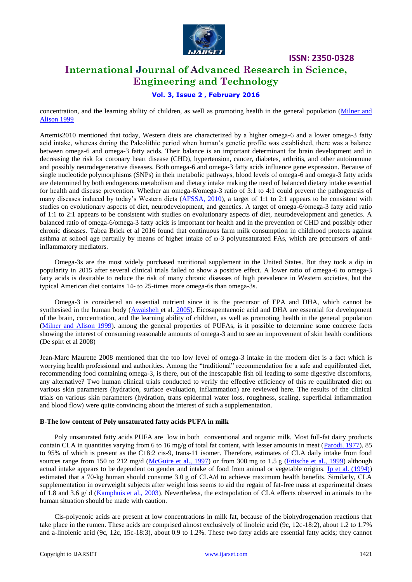

## **International Journal of Advanced Research in Science, Engineering and Technology**

### **Vol. 3, Issue 2 , February 2016**

concentration, and the learning ability of children, as well as promoting health in the general population [\(Milner and](http://onlinelibrary.wiley.com/doi/10.1111/j.1471-0307.2009.00547.x/full#b73)  [Alison 1999](http://onlinelibrary.wiley.com/doi/10.1111/j.1471-0307.2009.00547.x/full#b73)

Artemis2010 mentioned that today, Western diets are characterized by a higher omega-6 and a lower omega-3 fatty acid intake, whereas during the Paleolithic period when human's genetic profile was established, there was a balance between omega-6 and omega-3 fatty acids. Their balance is an important determinant for brain development and in decreasing the risk for coronary heart disease (CHD), hypertension, cancer, diabetes, arthritis, and other autoimmune and possibly neurodegenerative diseases. Both omega-6 and omega-3 fatty acids influence gene expression. Because of single nucleotide polymorphisms (SNPs) in their metabolic pathways, blood levels of omega-6 and omega-3 fatty acids are determined by both endogenous metabolism and dietary intake making the need of balanced dietary intake essential for health and disease prevention. Whether an omega-6/omega-3 ratio of 3:1 to 4:1 could prevent the pathogenesis of many diseases induced by today's Western diets [\(AFSSA, 2010\)](http://www.ocl-journal.org/articles/ocl/abs/2010/05/ocl2010175p267/ocl2010175p267.html#R1), a target of 1:1 to 2:1 appears to be consistent with studies on evolutionary aspects of diet, neurodevelopment, and genetics. A target of omega-6/omega-3 fatty acid ratio of 1:1 to 2:1 appears to be consistent with studies on evolutionary aspects of diet, neurodevelopment and genetics. A balanced ratio of omega-6/omega-3 fatty acids is important for health and in the prevention of CHD and possibly other chronic diseases. Tabea Brick et al 2016 found that continuous farm milk consumption in childhood protects against asthma at school age partially by means of higher intake of ω-3 polyunsaturated FAs, which are precursors of antiinflammatory mediators.

Omega-3s are the most widely purchased nutritional supplement in the United States. But they took a dip in popularity in 2015 after several clinical trials failed to show a positive effect. A lower ratio of omega-6 to omega-3 fatty acids is desirable to reduce the risk of many chronic diseases of high prevalence in Western societies, but the typical American diet contains 14- to 25-times more omega-6s than omega-3s.

Omega-3 is considered an essential nutrient since it is the precursor of EPA and DHA, which cannot be synthesised in the human body [\(Awaisheh et](http://onlinelibrary.wiley.com/doi/10.1111/j.1471-0307.2009.00547.x/full#b8) al. 2005). Eicosapentaenoic acid and DHA are essential for development of the brain, concentration, and the learning ability of children, as well as promoting health in the general population [\(Milner and Alison 1999\)](http://onlinelibrary.wiley.com/doi/10.1111/j.1471-0307.2009.00547.x/full#b73). among the general properties of PUFAs, is it possible to determine some concrete facts showing the interest of consuming reasonable amounts of omega-3 and to see an improvement of skin health conditions (De spirt et al 2008)

Jean-Marc Maurette 2008 mentioned that the too low level of omega-3 intake in the modern diet is a fact which is worrying health professional and authorities. Among the "traditional" recommendation for a safe and equilibrated diet, recommending food containing omega-3, is there, out of the inescapable fish oil leading to some digestive discomforts, any alternative? Two human clinical trials conducted to verify the effective efficiency of this re equilibrated diet on various skin parameters (hydration, surface evaluation, inflammation) are reviewed here. The results of the clinical trials on various skin parameters (hydration, trans epidermal water loss, roughness, scaling, superficial inflammation and blood flow) were quite convincing about the interest of such a supplementation.

#### **B-The low content of Poly unsaturated fatty acids PUFA in milk**

Poly unsaturated fatty acids PUFA are low in both conventional and organic milk, Most full-fat dairy products contain CLA in quantities varying from 6 to 16 mg/g of total fat content, with lesser amounts in meat [\(Parodi, 1977\)](javascript:void(0);), 85 to 95% of which is present as the C18:2 cis-9, trans-11 isomer. Therefore, estimates of CLA daily intake from food sources range from 150 to 212 mg/d [\(McGuire et al., 1997\)](javascript:void(0);) or from 300 mg to 1.5 g [\(Fritsche et al., 1999\)](javascript:void(0);) although actual intake appears to be dependent on gender and intake of food from animal or vegetable origins. [Ip et al. \(1994\)\)](javascript:void(0);) estimated that a 70-kg human should consume 3.0 g of CLA/d to achieve maximum health benefits. Similarly, CLA supplementation in overweight subjects after weight loss seems to aid the regain of fat-free mass at experimental doses of 1.8 and 3.6  $g/d$  [\(Kamphuis et al., 2003\)](javascript:void(0);). Nevertheless, the extrapolation of CLA effects observed in animals to the human situation should be made with caution.

Cis-polyenoic acids are present at low concentrations in milk fat, because of the biohydrogenation reactions that take place in the rumen. These acids are comprised almost exclusively of linoleic acid (9c, 12c-18:2), about 1.2 to 1.7% and a-linolenic acid (9c, 12c, 15c-18:3), about 0.9 to 1.2%. These two fatty acids are essential fatty acids; they cannot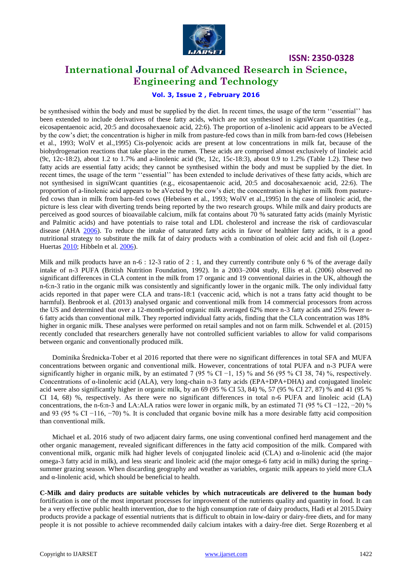

## **International Journal of Advanced Research in Science, Engineering and Technology**

### **Vol. 3, Issue 2 , February 2016**

be synthesised within the body and must be supplied by the diet. In recent times, the usage of the term "essential" has been extended to include derivatives of these fatty acids, which are not synthesised in signiWcant quantities (e.g., eicosapentaenoic acid, 20:5 and docosahexaenoic acid, 22:6). The proportion of a-linolenic acid appears to be aVected by the cow's diet; the concentration is higher in milk from pasture-fed cows than in milk from barn-fed cows (Hebeisen et al., 1993; WolV et al.,1995) Cis-polyenoic acids are present at low concentrations in milk fat, because of the biohydrogenation reactions that take place in the rumen. These acids are comprised almost exclusively of linoleic acid (9c, 12c-18:2), about 1.2 to 1.7% and a-linolenic acid (9c, 12c, 15c-18:3), about 0.9 to 1.2% (Table 1.2). These two fatty acids are essential fatty acids; they cannot be synthesised within the body and must be supplied by the diet. In recent times, the usage of the term "essential" has been extended to include derivatives of these fatty acids, which are not synthesised in signiWcant quantities (e.g., eicosapentaenoic acid, 20:5 and docosahexaenoic acid, 22:6). The proportion of a-linolenic acid appears to be aVected by the cow's diet; the concentration is higher in milk from pasturefed cows than in milk from barn-fed cows (Hebeisen et al., 1993; WolV et al.,1995) In the case of linoleic acid, the picture is less clear with diverting trends being reported by the two research groups. While milk and dairy products are perceived as good sources of bioavailable calcium, milk fat contains about 70 % saturated fatty acids (mainly Myristic and Palmitic acids) and have potentials to raise total and LDL cholesterol and increase the risk of cardiovascular disease (AHA [2006\)](http://link.springer.com/article/10.1007/s13197-013-1163-z/fulltext.html#CR2). To reduce the intake of saturated fatty acids in favor of healthier fatty acids, it is a good nutritional strategy to substitute the milk fat of dairy products with a combination of oleic acid and fish oil (Lopez-Huertas [2010;](http://link.springer.com/article/10.1007/s13197-013-1163-z/fulltext.html#CR38) Hibbeln et al. [2006\)](http://link.springer.com/article/10.1007/s13197-013-1163-z/fulltext.html#CR24).

Milk and milk products have an n-6 : 12-3 ratio of 2 : 1, and they currently contribute only 6 % of the average daily intake of n-3 PUFA (British Nutrition Foundation, 1992). In a 2003–2004 study, Ellis et al. (2006) observed no significant differences in CLA content in the milk from 17 organic and 19 conventional dairies in the UK, although the n-6:n-3 ratio in the organic milk was consistently and significantly lower in the organic milk. The only individual fatty acids reported in that paper were CLA and trans-18:1 (vaccenic acid, which is not a trans fatty acid thought to be harmful). Benbrook et al. (2013) analysed organic and conventional milk from 14 commercial processors from across the US and determined that over a 12-month-period organic milk averaged 62% more n-3 fatty acids and 25% fewer n-6 fatty acids than conventional milk. They reported individual fatty acids, finding that the CLA concentration was 18% higher in organic milk. These analyses were performed on retail samples and not on farm milk. Schwendel et al. (2015) recently concluded that researchers generally have not controlled sufficient variables to allow for valid comparisons between organic and conventionally produced milk.

Dominika Średnicka-Tober et al 2016 reported that there were no significant differences in total SFA and MUFA concentrations between organic and conventional milk. However, concentrations of total PUFA and n-3 PUFA were significantly higher in organic milk, by an estimated 7 (95 % CI −1, 15) % and 56 (95 % CI 38, 74) %, respectively. Concentrations of α-linolenic acid (ALA), very long-chain n-3 fatty acids (EPA+DPA+DHA) and conjugated linoleic acid were also significantly higher in organic milk, by an 69 (95 % CI 53, 84) %, 57 (95 % CI 27, 87) % and 41 (95 % CI 14, 68) %, respectively. As there were no significant differences in total n-6 PUFA and linoleic acid (LA) concentrations, the n-6:n-3 and LA:ALA ratios were lower in organic milk, by an estimated 71 (95 % CI −122, −20) % and 93 (95 % CI −116, −70) %. It is concluded that organic bovine milk has a more desirable fatty acid composition than conventional milk.

Michael et aL 2016 study of two adjacent dairy farms, one using conventional confined herd management and the other organic management, revealed significant differences in the fatty acid composition of the milk. Compared with conventional milk, organic milk had higher levels of conjugated linoleic acid (CLA) and α-linolenic acid (the major omega-3 fatty acid in milk), and less stearic and linoleic acid (the major omega-6 fatty acid in milk) during the spring– summer grazing season. When discarding geography and weather as variables, organic milk appears to yield more CLA and  $\alpha$ -linolenic acid, which should be beneficial to health.

**C-Milk and dairy products are suitable vehicles by which nutraceuticals are delivered to the human body** fortification is one of the most important processes for improvement of the nutrients quality and quantity in food. It can be a very effective public health intervention, due to the high consumption rate of dairy products, Hadi et al 2015.Dairy products provide a package of essential nutrients that is difficult to obtain in low-dairy or dairy-free diets, and for many people it is not possible to achieve recommended daily calcium intakes with a dairy-free diet. Serge Rozenberg et al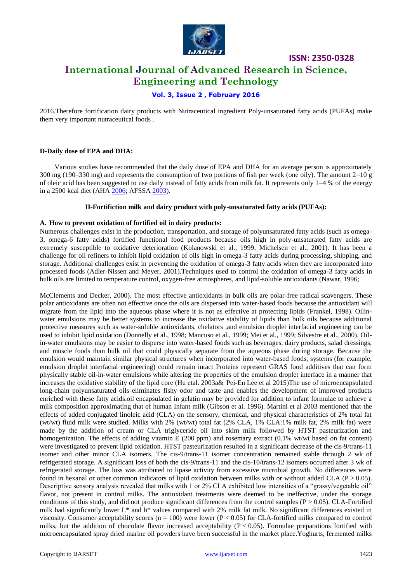

# **ISSN: 2350-0328 International Journal of Advanced Research in Science, Engineering and Technology**

### **Vol. 3, Issue 2 , February 2016**

2016.Therefore fortification dairy products with Nutraceutical ingredient Poly-unsaturated fatty acids (PUFAs) make them very important nutraceutical foods .

#### **D-Daily dose of EPA and DHA:**

Various studies have recommended that the daily dose of EPA and DHA for an average person is approximately 300 mg (190–330 mg) and represents the consumption of two portions of fish per week (one oily). The amount 2–10 g of oleic acid has been suggested to use daily instead of fatty acids from milk fat. It represents only  $1-4\%$  of the energy in a 2500 kcal diet (AHA [2006;](http://link.springer.com/article/10.1007/s13197-013-1163-z/fulltext.html#CR2) AFSSA [2003\)](http://link.springer.com/article/10.1007/s13197-013-1163-z/fulltext.html#CR1).

#### **II-Fortifiction milk and dairy product with poly-unsaturated fatty acids (PUFAs):**

#### **A. How to prevent oxidation of fortified oil in dairy products:**

Numerous challenges exist in the production, transportation, and storage of polyunsaturated fatty acids (such as omega-3, omega-6 fatty acids) fortified functional food products because oils high in poly-unsaturated fatty acids are extremely susceptible to oxidative deterioration (Kolanowski et al., 1999, Michelsen et al., 2001). It has been a challenge for oil refiners to inhibit lipid oxidation of oils high in omega-3 fatty acids during processing, shipping, and storage. Additional challenges exist in preventing the oxidation of omega-3 fatty acids when they are incorporated into processed foods (Adler-Nissen and Meyer, 2001).Techniques used to control the oxidation of omega-3 fatty acids in bulk oils are limited to temperature control, oxygen-free atmospheres, and lipid-soluble antioxidants (Nawar, 1996;

McClements and Decker, 2000). The most effective antioxidants in bulk oils are polar-free radical scavengers. These polar antioxidants are often not effective once the oils are dispersed into water-based foods because the antioxidant will migrate from the lipid into the aqueous phase where it is not as effective at protecting lipids (Frankel, 1998). Oilinwater emulsions may be better systems to increase the oxidative stability of lipids than bulk oils because additional protective measures such as water-soluble antioxidants, chelators ,and emulsion droplet interfacial engineering can be used to inhibit lipid oxidation (Donnelly et al., 1998; Mancuso et al., 1999; Mei et al., 1999; Silvestre et al., 2000). Oilin-water emulsions may be easier to disperse into water-based foods such as beverages, dairy products, salad dressings, and muscle foods than bulk oil that could physically separate from the aqueous phase during storage. Because the emulsion would maintain similar physical structures when incorporated into water-based foods, systems (for example, emulsion droplet interfacial engineering) could remain intact Proteins represent GRAS food additives that can form physically stable oil-in-water emulsions while altering the properties of the emulsion droplet interface in a manner that increases the oxidative stability of the lipid core (Hu etal. 2003a& Pei-En Lee et al 2015)The use of microencapsulated long-chain polyunsaturated oils eliminates fishy odor and taste and enables the development of improved products enriched with these fatty acids.oil encapsulated in gelatin may be provided for addition to infant formulae to achieve a milk composition approximating that of human Infant milk (Gibson et al. 1996). Martini et al 2003 mentioned that the effects of added conjugated linoleic acid (CLA) on the sensory, chemical, and physical characteristics of 2% total fat (wt/wt) fluid milk were studied. Milks with 2% (wt/wt) total fat (2% CLA, 1% CLA:1% milk fat, 2% milk fat) were made by the addition of cream or CLA triglyceride oil into skim milk followed by HTST pasteurization and homogenization. The effects of adding vitamin E (200 ppm) and rosemary extract (0.1% wt/wt based on fat content) were investigated to prevent lipid oxidation. HTST pasteurization resulted in a significant decrease of the cis-9/trans-11 isomer and other minor CLA isomers. The cis-9/trans-11 isomer concentration remained stable through 2 wk of refrigerated storage. A significant loss of both the cis-9/trans-11 and the cis-10/trans-12 isomers occurred after 3 wk of refrigerated storage. The loss was attributed to lipase activity from excessive microbial growth. No differences were found in hexanal or other common indicators of lipid oxidation between milks with or without added CLA ( $P > 0.05$ ). Descriptive sensory analysis revealed that milks with 1 or 2% CLA exhibited low intensities of a "grassy/vegetable oil" flavor, not present in control milks. The antioxidant treatments were deemed to be ineffective, under the storage conditions of this study, and did not produce significant differences from the control samples ( $P > 0.05$ ). CLA-Fortified milk had significantly lower L\* and b\* values compared with 2% milk fat milk. No significant differences existed in viscosity. Consumer acceptability scores ( $n = 100$ ) were lower ( $P < 0.05$ ) for CLA-fortified milks compared to control milks, but the addition of chocolate flavor increased acceptability  $(P < 0.05)$ . Formulae preparations fortified with microencapsulated spray dried marine oil powders have been successful in the market place.Yoghurts, fermented milks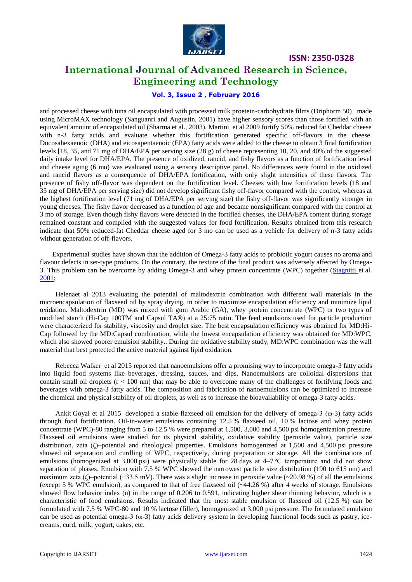

## **International Journal of Advanced Research in Science, Engineering and Technology**

### **Vol. 3, Issue 2 , February 2016**

and processed cheese with tuna oil encapsulated with processed milk proetein-carbohydrate films (Driphorm 50) made using MicroMAX technology (Sanguanri and Augustin, 2001) have higher sensory scores than those fortified with an equivalent amount of encapsulated oil (Sharma et al., 2003). Martini et al 2009 fortify 50% reduced fat Cheddar cheese with n-3 fatty acids and evaluate whether this fortification generated specific off-flavors in the cheese. Docosahexaenoic (DHA) and eicosapentaenoic (EPA) fatty acids were added to the cheese to obtain 3 final fortification levels [18, 35, and 71 mg of DHA/EPA per serving size (28 g) of cheese representing 10, 20, and 40% of the suggested daily intake level for DHA/EPA. The presence of oxidized, rancid, and fishy flavors as a function of fortification level and cheese aging (6 mo) was evaluated using a sensory descriptive panel. No differences were found in the oxidized and rancid flavors as a consequence of DHA/EPA fortification, with only slight intensities of these flavors. The presence of fishy off-flavor was dependent on the fortification level. Cheeses with low fortification levels (18 and 35 mg of DHA/EPA per serving size) did not develop significant fishy off-flavor compared with the control, whereas at the highest fortification level (71 mg of DHA/EPA per serving size) the fishy off-flavor was significantly stronger in young cheeses. The fishy flavor decreased as a function of age and became nonsignificant compared with the control at 3 mo of storage. Even though fishy flavors were detected in the fortified cheeses, the DHA/EPA content during storage remained constant and complied with the suggested values for food fortification. Results obtained from this research indicate that 50% reduced-fat Cheddar cheese aged for 3 mo can be used as a vehicle for delivery of n-3 fatty acids without generation of off-flavors.

Experimental studies have shown that the addition of Omega-3 fatty acids to probiotic yogurt causes no aroma and flavour defects in set-type products. On the contrary, the texture of the final product was adversely affected by Omega-3. This problem can be overcome by adding Omega-3 and whey protein concentrate (WPC) together [\(Stagnitti et](http://onlinelibrary.wiley.com/doi/10.1111/j.1471-0307.2009.00547.x/full#b111) al. [2001;](http://onlinelibrary.wiley.com/doi/10.1111/j.1471-0307.2009.00547.x/full#b111)

Helenaet al 2013 evaluating the potential of maltodextrin combination with different wall materials in the microencapsulation of flaxseed oil by spray drying, in order to maximize encapsulation efficiency and minimize lipid oxidation. Maltodextrin (MD) was mixed with gum Arabic (GA), whey protein concentrate (WPC) or two types of modified starch (Hi-Cap 100TM and Capsul TA®) at a 25:75 ratio. The feed emulsions used for particle production were characterized for stability, viscosity and droplet size. The best encapsulation efficiency was obtained for MD:Hi-Cap followed by the MD:Capsul combination, while the lowest encapsulation efficiency was obtained for MD:WPC, which also showed poorer emulsion stability.. During the oxidative stability study, MD:WPC combination was the wall material that best protected the active material against lipid oxidation.

Rebecca Walker et al 2015 reported that nanoemulsions offer a promising way to incorporate omega-3 fatty acids into liquid food systems like beverages, dressing, sauces, and dips. Nanoemulsions are colloidal dispersions that contain small oil droplets (r < 100 nm) that may be able to overcome many of the challenges of fortifying foods and beverages with omega-3 fatty acids. The composition and fabrication of nanoemulsions can be optimized to increase the chemical and physical stability of oil droplets, as well as to increase the bioavailability of omega-3 fatty acids.

Ankit Goyal et al 2015 developed a stable flaxseed oil emulsion for the delivery of omega-3 (ω-3) fatty acids through food fortification. Oil-in-water emulsions containing 12.5 % flaxseed oil, 10 % lactose and whey protein concentrate (WPC)-80 ranging from 5 to 12.5 % were prepared at 1,500, 3,000 and 4,500 psi homogenization pressure. Flaxseed oil emulsions were studied for its physical stability, oxidative stability (peroxide value), particle size distribution, zeta (ζ)–potential and rheological properties. Emulsions homogenized at 1,500 and 4,500 psi pressure showed oil separation and curdling of WPC, respectively, during preparation or storage. All the combinations of emulsions (homogenized at 3,000 psi) were physically stable for 28 days at 4–7 °C temperature and did not show separation of phases. Emulsion with 7.5 % WPC showed the narrowest particle size distribution (190 to 615 nm) and maximum zeta (ζ)–potential (−33.5 mV). There was a slight increase in peroxide value (~20.98 %) of all the emulsions (except 5 % WPC emulsion), as compared to that of free flaxseed oil (~44.26 %) after 4 weeks of storage. Emulsions showed flow behavior index (n) in the range of 0.206 to 0.591, indicating higher shear thinning behavior, which is a characteristic of food emulsions. Results indicated that the most stable emulsion of flaxseed oil (12.5 %) can be formulated with 7.5 % WPC-80 and 10 % lactose (filler), homogenized at 3,000 psi pressure. The formulated emulsion can be used as potential omega-3 (ω-3) fatty acids delivery system in developing functional foods such as pastry, icecreams, curd, milk, yogurt, cakes, etc.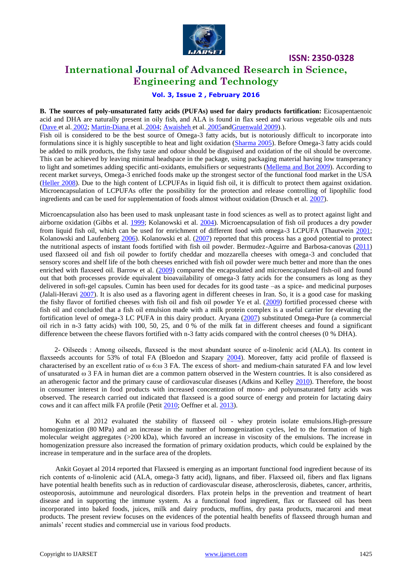

# **International Journal of Advanced Research in Science, Engineering and Technology**

**ISSN: 2350-0328**

### **Vol. 3, Issue 2 , February 2016**

**B. The sources of poly-unsaturated fatty acids (PUFAs) used for dairy products fortification:** Eicosapentaenoic acid and DHA are naturally present in oily fish, and ALA is found in flax seed and various vegetable oils and nuts [\(Dave et](http://onlinelibrary.wiley.com/doi/10.1111/j.1471-0307.2009.00547.x/full#b22) al. 2002[; Martin-Diana et](http://onlinelibrary.wiley.com/doi/10.1111/j.1471-0307.2009.00547.x/full#b65) al. 2004; [Awaisheh et](http://onlinelibrary.wiley.com/doi/10.1111/j.1471-0307.2009.00547.x/full#b8) al. 2005an[dGruenwald 2009\)](http://onlinelibrary.wiley.com/doi/10.1111/j.1471-0307.2009.00547.x/full#b38).).

Fish oil is considered to be the best source of Omega-3 fatty acids, but is notoriously difficult to incorporate into formulations since it is highly susceptible to heat and light oxidation [\(Sharma 2005\)](http://onlinelibrary.wiley.com/doi/10.1111/j.1471-0307.2009.00547.x/full#b105). Before Omega-3 fatty acids could be added to milk products, the fishy taste and odour should be disguised and oxidation of the oil should be overcome. This can be achieved by leaving minimal headspace in the package, using packaging material having low transperancy to light and sometimes adding specific anti-oxidants, emulsifiers or sequestrants [\(Mellema and Bot 2009\)](http://onlinelibrary.wiley.com/doi/10.1111/j.1471-0307.2009.00547.x/full#b70). According to recent market surveys, Omega-3 enriched foods make up the strongest sector of the functional food market in the USA [\(Heller 2008\)](http://onlinelibrary.wiley.com/doi/10.1111/j.1471-0307.2009.00547.x/full#b43). Due to the high content of LCPUFAs in liquid fish oil, it is difficult to protect them against oxidation. Microencapsulation of LCPUFAs offer the possibility for the protection and release controlling of lipophilic food ingredients and can be used for supplementation of foods almost without oxidation (Drusch et al. [2007\)](http://link.springer.com/article/10.1007/s13197-013-1163-z/fulltext.html#CR16).

Microencapsulation also has been used to mask unpleasant taste in food sciences as well as to protect against light and airborne oxidation (Gibbs et al. [1999;](http://link.springer.com/article/10.1007/s13197-013-1163-z/fulltext.html#CR21) Kolanowski et al. [2004\)](http://link.springer.com/article/10.1007/s13197-013-1163-z/fulltext.html#CR33). Microencapsulation of fish oil produces a dry powder from liquid fish oil, which can be used for enrichment of different food with omega-3 LCPUFA (Thautwein [2001;](http://link.springer.com/article/10.1007/s13197-013-1163-z/fulltext.html#CR51) Kolanowski and Laufenberg [2006\)](http://link.springer.com/article/10.1007/s13197-013-1163-z/fulltext.html#CR32). Kolanowski et al. [\(2007\)](http://link.springer.com/article/10.1007/s13197-013-1163-z/fulltext.html#CR34) reported that this process has a good potential to protect the nutritional aspects of instant foods fortified with fish oil powder. Bermudez-Aguirre and Barbosa-canovas [\(2011\)](http://link.springer.com/article/10.1007/s13197-013-1163-z/fulltext.html#CR10) used flaxseed oil and fish oil powder to fortify cheddar and mozzarella cheeses with omega-3 and concluded that sensory scores and shelf life of the both cheeses enriched with fish oil powder were much better and more than the ones enriched with flaxseed oil. Barrow et al. [\(2009\)](http://link.springer.com/article/10.1007/s13197-013-1163-z/fulltext.html#CR8) compared the encapsulated and microencapsulated fish-oil and found out that both processes provide equivalent bioavailability of omega-3 fatty acids for the consumers as long as they delivered in soft-gel capsules. Cumin has been used for decades for its good taste –as a spice- and medicinal purposes (Jalali-Heravi [2007\)](http://link.springer.com/article/10.1007/s13197-013-1163-z/fulltext.html#CR27). It is also used as a flavoring agent in different cheeses in Iran. So, it is a good case for masking the fishy flavor of fortified cheeses with fish oil and fish oil powder Ye et al.  $(2009)$  fortified processed cheese with fish oil and concluded that a fish oil emulsion made with a milk protein complex is a useful carrier for elevating the fortification level of omega-3 LC PUFA in this dairy product. Aryana [\(2007\)](http://link.springer.com/article/10.1007/s13197-013-1163-z/fulltext.html#CR6) substituted Omega-Pure (a commercial oil rich in n-3 fatty acids) with 100, 50, 25, and 0 % of the milk fat in different cheeses and found a significant difference between the cheese flavors fortified with n-3 fatty acids compared with the control cheeses (0 % DHA).

2- Oilseeds : Among oilseeds, flaxseed is the most abundant source of α-linolenic acid (ALA). Its content in flaxseeds accounts for 53% of total FA (Bloedon and Szapary [2004\)](http://onlinelibrary.wiley.com/doi/10.1111/1471-0307.12235/full#idt12235-bib-0005). Moreover, fatty acid profile of flaxseed is characterised by an excellent ratio of ω 6:ω 3 FA. The excess of short- and medium-chain saturated FA and low level of unsaturated ω 3 FA in human diet are a common pattern observed in the Western countries. It is also considered as an atherogenic factor and the primary cause of cardiovascular diseases (Adkins and Kelley [2010\)](http://onlinelibrary.wiley.com/doi/10.1111/1471-0307.12235/full#idt12235-bib-0001). Therefore, the boost in consumer interest in food products with increased concentration of mono- and polyunsaturated fatty acids was observed. The research carried out indicated that flaxseed is a good source of energy and protein for lactating dairy cows and it can affect milk FA profile (Petit [2010;](http://onlinelibrary.wiley.com/doi/10.1111/1471-0307.12235/full#idt12235-bib-0031) Oeffner et al[. 2013\)](http://onlinelibrary.wiley.com/doi/10.1111/1471-0307.12235/full#idt12235-bib-0030).

Kuhn et al 2012 evaluated the stability of flaxseed oil - whey protein isolate emulsions.High-pressure homogenization (80 MPa) and an increase in the number of homogenization cycles, led to the formation of high molecular weight aggregates (>200 kDa), which favored an increase in viscosity of the emulsions. The increase in homogenization pressure also increased the formation of primary oxidation products, which could be explained by the increase in temperature and in the surface area of the droplets.

Ankit Goyaet al 2014 reported that Flaxseed is emerging as an important functional food ingredient because of its rich contents of  $\alpha$ -linolenic acid (ALA, omega-3 fatty acid), lignans, and fiber. Flaxseed oil, fibers and flax lignans have potential health benefits such as in reduction of cardiovascular disease, atherosclerosis, diabetes, cancer, arthritis, osteoporosis, autoimmune and neurological disorders. Flax protein helps in the prevention and treatment of heart disease and in supporting the immune system. As a functional food ingredient, flax or flaxseed oil has been incorporated into baked foods, juices, milk and dairy products, muffins, dry pasta products, macaroni and meat products. The present review focuses on the evidences of the potential health benefits of flaxseed through human and animals' recent studies and commercial use in various food products.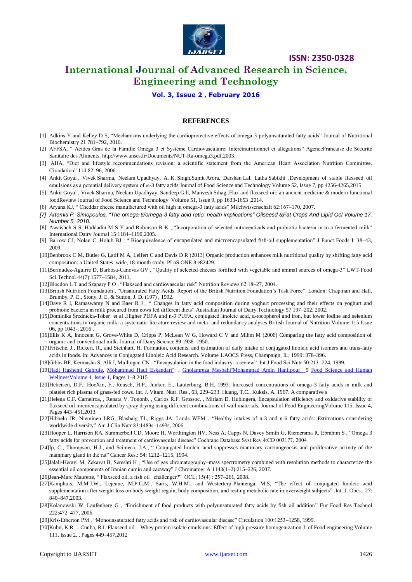

# **International Journal of Advanced Research in Science, Engineering and Technology**

**Vol. 3, Issue 2 , February 2016**

#### **REFERENCES**

- [1] Adkins Y and Kelley D S, "Mechanisms underlying the cardioprotective effects of omega-3 polyunsaturated fatty acids" Journal of Nutritional Biochemistry 21 781–792, 2010.
- [2] AFFSA, " Acides Gras de la Famille Oméga 3 et Système Cardiovasculaire: Intérêtnutritionnel et allegations" AgenceFrancaise de Sécurité Sanitaire des Aliments[. http://www.anses.fr/Documents/NUT-Ra-omega3.pdf,](http://www.anses.fr/Documents/NUT-Ra-omega3.pdf)2003.
- [3] AHA, "Diet and lifestyle recommendations revision: a scientific statement from the American Heart Association Nutrition Committee. Circulation" 114:82-96, 2006.
- [4] Ankit Goyal , Vivek Sharma, Neelam Upadhyay, A. K. Singh,Sumit Arora, Darshan Lal, Latha Sabikhi .Development of stable flaxseed oil emulsions as a potential delivery system of ω-3 fatty acids Journal of Food Science and Technology Volume 52, Issue 7, pp 4256-4265,2015
- [5] Ankit Goyal , Vivek Sharma, Neelam Upadhyay, Sandeep Gill, Manvesh Sihag .Flax and flaxseed oil: an ancient medicine & modern functional foodReview Journal of Food Science and Technology Volume 51, Issue 9, pp 1633-1653 ,2014.
- [6] Aryana KJ, "Cheddar cheese manufactured with oil high in omega-3 fatty acids" Milchwissenschaft 62:167–170, 2007.
- *[7] Artemis P. Simopoulos, "The omega-6/omega-3 fatty acid ratio: health implications" Oilseesd &Fat Crops And Lipid Ocl Volume 17, Number 5, 2010.*
- [8] Awaisheh S S, Haddadin M S Y and Robinson R K , "Incorporation of selected nutraceuticals and probiotic bacteria in to a fermented milk" International Dairy Journal 15 1184–1190,2005.
- [9] Barrow CJ, Nolan C, Holub BJ, "Bioequivalence of encapsulated and microencapsulated fish-oil supplementation" J Funct Foods I: 38–43, 2009.
- [10]Benbrook C M, Butler G, Latif M A, Leifert C and Davis D R (2013) Organic production enhances milk nutritional quality by shifting fatty acid composition: a United States–wide, 18-month study. PLoS ONE 8 e82429.
- [11]Bermudez-Aguirre D, Barbosa-Canovas GV, "Ouality of selected cheeses fortified with vegetable and animal sources of omega-3" LWT-Food Sci Technol 44(7):1577–1584, 2011.
- [12]Bloedon L T and Szapary P O , "Flaxseed and cardiovascular risk" Nutrition Reviews 62 18-27, 2004.
- [13]British Nutrition Foundation, "Unsaturated Fatty Acids. Report of the British Nutrition Foundation's Task Force". London: Chapman and Hall. Brumby, P. E., Stony, J. E. & Sutton, J. D. (197) , 1992.
- [14]Dave R I, Ramaswamy N and Baer R J , " Changes in fatty acid composition during yoghurt processing and their effects on yoghurt and probiotic bacteria in milk procured from cows fed different diets" Australian Journal of Dairy Technology 57 197-202, 2002.
- [15]Dominika Średnicka-Tober et al .Higher PUFA and n-3 PUFA, conjugated linoleic acid, α-tocopherol and iron, but lower iodine and selenium concentrations in organic milk: a systematic literature review and meta- and redundancy analyses British Journal of Nutrition Volume 115 Issue 06, pp 1043-, 2016 .
- [16]Ellis K A, Innocent G, Grove-White D, Cripps P, McLean W G, Howard C V and Mihm M (2006) Comparing the fatty acid composition of organic and conventional milk. Journal of Dairy Science 89 1938–1950.
- [17]Fritsche, J., Rickert, R., and Steinhart, H. Formation, contents, and estimation of daily intake of conjugated linoleic acid isomers and trans-fatty acids in foods. in: Advances in Conjugated Linoleic Acid Research. Volume 1.AOCS Press, Champaign, IL; 1999: 378–396.
- [18]Gibbs BF, Kermasha S, Alli I, Mullingan CN, "Encapsulation in the food industry: a review" Int J Food Sci Nutr 50:213–224, 1999.
- [19[\]Hadi Hashemi Gahruie, Mohammad Hadi Eskandari](http://www.sciencedirect.com/science/article/pii/S2213453015000178)<sup>a</sup> , [Gholamreza Mesbahi](http://www.sciencedirect.com/science/article/pii/S2213453015000178)<sup>a</sup>[Mohammad Amin Hanifpour](http://www.sciencedirect.com/science/article/pii/S2213453015000178) 5 Food Science and Human [WellnessVolume 4, Issue 1,](http://www.sciencedirect.com/science/journal/22134530) Pages 1–8 2015
- [20]Hebeisen, D.F., HoeXin, F., Reusch, H.P., Junker, E., Lauterburg, B.H. 1993. Increased concentrations of omega-3 fatty acids in milk and platelet rich plasma of grass-fed cows. Int. J. Vitam. Nutr. Res., 63, 229–233. Huang, T.C., Kuksis, A. 1967. A comparative s
- [21]Helena C.F. Carneiroa, , Renata V. Tononb, , Carlos R.F. Grossoc, , Míriam D. Hubingera, Encapsulation efficiency and oxidative stability of flaxseed oil microencapsulated by spray drying using different combinations of wall materials, Journal of Food EngineeringVolume 115, Issue 4, Pages 443–451,2013.
- [22]Hibbeln JR, Nieminen LRG, Blasbalg TL, Riggs JA, Lands WEM, "Healthy intakes of n-3 and n-6 fatty acids: Estimations considering worldwide diversity" Am J Clin Nutr 83:1483s-1493s, 2006.
- [23] Hooper L, Harrison RA, Summerbell CD, Moore H, Worthington HV, Ness A, Capps N, Davey Smith G, Riemersma R, Ebrahim S, "Omega 3 fatty acids for prevention and treatment of cardiovascular disease" Cochrane Database Syst Rev 4:CD 003177, 2004
- [24]Ip, C., Thompson, H.J., and Scimeca, J.A., "Conjugated linoleic acid suppresses mammary carcinogenesis and proliferative activity of the mammary gland in the rat" Cancer Res.; 54: 1212-1215, 1994.
- [25]Jalali-Heravi M, Zekavat B, Sereshti H , "Use of gas chromatography–mass spectrometry combined with resolution methods to characterize the essential oil components of Iranian cumin and caraway‖ J Chromatogr A 1143(1–2):215–226, 2007.
- [26]Jean-Marc Maurette, "Flaxseed oil, a fish oil challenger?" OCL; 15(4): 257-261, 2008.
- [27]Kamphuis, M.M.J.W., Lejeune, M.P.G.M., Saris, W.H.M., and Westerterp-Plantenga, M.S, "The effect of conjugated linoleic acid supplementation after weight loss on body weight regain, body composition, and resting metabolic rate in overweight subjects". Int. J. Obes.; 27: 840–847,2003.
- [28]Kolanowski W, Laufenberg G , "Enrichment of food products with polyunsaturated fatty acids by fish oil addition" Eur Food Res Technol 222:472–477, 2006.
- [29]Kris-Etherton PM , "Monounsaturated fatty acids and risk of cardiovascular disease" Circulation 100:1253–1258, 1999.
- [30]Kuhn, K.R. . Cunha, R.L Flaxseed oil Whey protein isolate emulsions: Effect of high pressure homogenization J. of Food engineering Volume 111, Issue 2, , Pages 449–457,2012